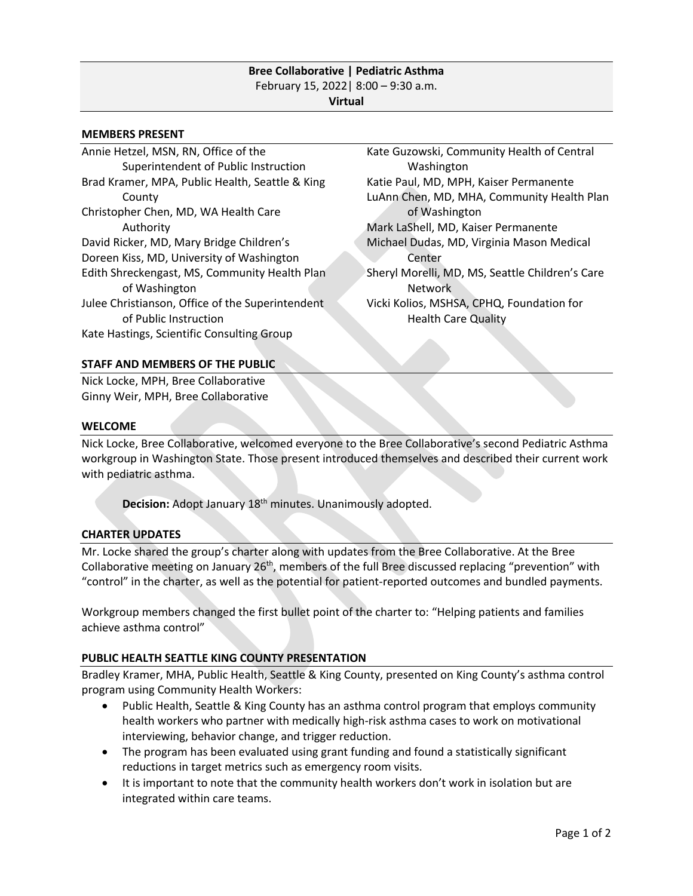### **Bree Collaborative | Pediatric Asthma** February 15, 2022| 8:00 – 9:30 a.m. **Virtual**

#### **MEMBERS PRESENT**

Annie Hetzel, MSN, RN, Office of the Superintendent of Public Instruction Brad Kramer, MPA, Public Health, Seattle & King County Christopher Chen, MD, WA Health Care Authority David Ricker, MD, Mary Bridge Children's Doreen Kiss, MD, University of Washington Edith Shreckengast, MS, Community Health Plan of Washington Julee Christianson, Office of the Superintendent of Public Instruction Kate Hastings, Scientific Consulting Group

Kate Guzowski, Community Health of Central Washington Katie Paul, MD, MPH, Kaiser Permanente LuAnn Chen, MD, MHA, Community Health Plan of Washington Mark LaShell, MD, Kaiser Permanente Michael Dudas, MD, Virginia Mason Medical Center Sheryl Morelli, MD, MS, Seattle Children's Care Network Vicki Kolios, MSHSA, CPHQ, Foundation for Health Care Quality

### **STAFF AND MEMBERS OF THE PUBLIC**

Nick Locke, MPH, Bree Collaborative Ginny Weir, MPH, Bree Collaborative

#### **WELCOME**

Nick Locke, Bree Collaborative, welcomed everyone to the Bree Collaborative's second Pediatric Asthma workgroup in Washington State. Those present introduced themselves and described their current work with pediatric asthma.

Decision: Adopt January 18<sup>th</sup> minutes. Unanimously adopted.

#### **CHARTER UPDATES**

Mr. Locke shared the group's charter along with updates from the Bree Collaborative. At the Bree Collaborative meeting on January 26<sup>th</sup>, members of the full Bree discussed replacing "prevention" with "control" in the charter, as well as the potential for patient-reported outcomes and bundled payments.

Workgroup members changed the first bullet point of the charter to: "Helping patients and families achieve asthma control"

#### **PUBLIC HEALTH SEATTLE KING COUNTY PRESENTATION**

Bradley Kramer, MHA, Public Health, Seattle & King County, presented on King County's asthma control program using Community Health Workers:

- Public Health, Seattle & King County has an asthma control program that employs community health workers who partner with medically high-risk asthma cases to work on motivational interviewing, behavior change, and trigger reduction.
- The program has been evaluated using grant funding and found a statistically significant reductions in target metrics such as emergency room visits.
- It is important to note that the community health workers don't work in isolation but are integrated within care teams.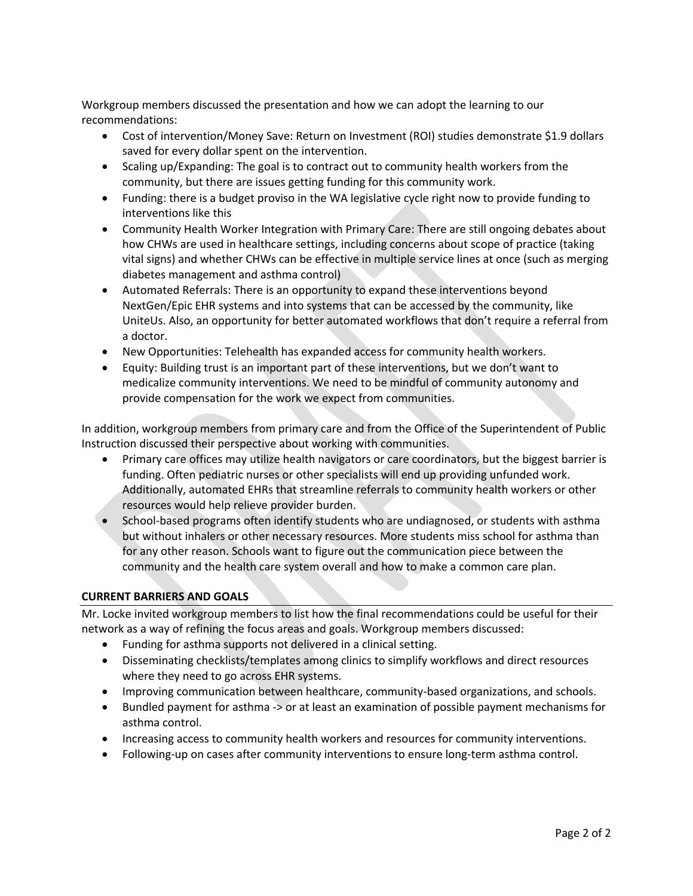Workgroup members discussed the presentation and how we can adopt the learning to our recommendations:

- Cost of intervention/Money Save: Return on Investment (ROI) studies demonstrate \$1.9 dollars saved for every dollar spent on the intervention.
- Scaling up/Expanding: The goal is to contract out to community health workers from the community, but there are issues getting funding for this community work.
- Funding: there is a budget proviso in the WA legislative cycle right now to provide funding to interventions like this
- Community Health Worker Integration with Primary Care: There are still ongoing debates about how CHWs are used in healthcare settings, including concerns about scope of practice (taking vital signs) and whether CHWs can be effective in multiple service lines at once (such as merging diabetes management and asthma control)
- Automated Referrals: There is an opportunity to expand these interventions beyond NextGen/Epic EHR systems and into systems that can be accessed by the community, like UniteUs. Also, an opportunity for better automated workflows that don't require a referral from a doctor.
- New Opportunities: Telehealth has expanded access for community health workers.
- Equity: Building trust is an important part of these interventions, but we don't want to medicalize community interventions. We need to be mindful of community autonomy and provide compensation for the work we expect from communities.

In addition, workgroup members from primary care and from the Office of the Superintendent of Public Instruction discussed their perspective about working with communities.

- Primary care offices may utilize health navigators or care coordinators, but the biggest barrier is funding. Often pediatric nurses or other specialists will end up providing unfunded work. Additionally, automated EHRs that streamline referrals to community health workers or other resources would help relieve provider burden.
- School-based programs often identify students who are undiagnosed, or students with asthma but without inhalers or other necessary resources. More students miss school for asthma than for any other reason. Schools want to figure out the communication piece between the community and the health care system overall and how to make a common care plan.

# **CURRENT BARRIERS AND GOALS**

Mr. Locke invited workgroup members to list how the final recommendations could be useful for their network as a way of refining the focus areas and goals. Workgroup members discussed:

- Funding for asthma supports not delivered in a clinical setting.
- Disseminating checklists/templates among clinics to simplify workflows and direct resources where they need to go across EHR systems.
- Improving communication between healthcare, community-based organizations, and schools.
- Bundled payment for asthma -> or at least an examination of possible payment mechanisms for asthma control.
- Increasing access to community health workers and resources for community interventions.
- Following-up on cases after community interventions to ensure long-term asthma control.